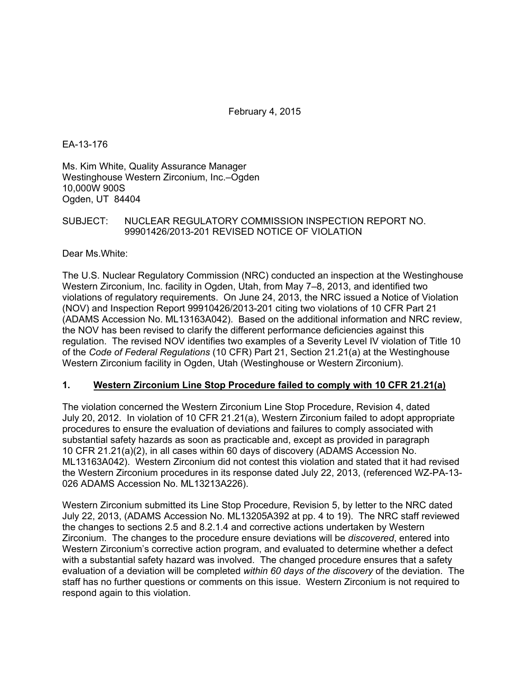EA-13-176

Ms. Kim White, Quality Assurance Manager Westinghouse Western Zirconium, Inc.–Ogden 10,000W 900S Ogden, UT 84404

# SUBJECT: NUCLEAR REGULATORY COMMISSION INSPECTION REPORT NO. 99901426/2013-201 REVISED NOTICE OF VIOLATION

Dear Ms.White:

The U.S. Nuclear Regulatory Commission (NRC) conducted an inspection at the Westinghouse Western Zirconium, Inc. facility in Ogden, Utah, from May 7–8, 2013, and identified two violations of regulatory requirements. On June 24, 2013, the NRC issued a Notice of Violation (NOV) and Inspection Report 99910426/2013-201 citing two violations of 10 CFR Part 21 (ADAMS Accession No. ML13163A042). Based on the additional information and NRC review, the NOV has been revised to clarify the different performance deficiencies against this regulation. The revised NOV identifies two examples of a Severity Level IV violation of Title 10 of the *Code of Federal Regulations* (10 CFR) Part 21, Section 21.21(a) at the Westinghouse Western Zirconium facility in Ogden, Utah (Westinghouse or Western Zirconium).

# **1. Western Zirconium Line Stop Procedure failed to comply with 10 CFR 21.21(a)**

The violation concerned the Western Zirconium Line Stop Procedure, Revision 4, dated July 20, 2012. In violation of 10 CFR 21.21(a), Western Zirconium failed to adopt appropriate procedures to ensure the evaluation of deviations and failures to comply associated with substantial safety hazards as soon as practicable and, except as provided in paragraph 10 CFR 21.21(a)(2), in all cases within 60 days of discovery (ADAMS Accession No. ML13163A042). Western Zirconium did not contest this violation and stated that it had revised the Western Zirconium procedures in its response dated July 22, 2013, (referenced WZ-PA-13- 026 ADAMS Accession No. ML13213A226).

Western Zirconium submitted its Line Stop Procedure, Revision 5, by letter to the NRC dated July 22, 2013, (ADAMS Accession No. ML13205A392 at pp. 4 to 19). The NRC staff reviewed the changes to sections 2.5 and 8.2.1.4 and corrective actions undertaken by Western Zirconium. The changes to the procedure ensure deviations will be *discovered*, entered into Western Zirconium's corrective action program, and evaluated to determine whether a defect with a substantial safety hazard was involved. The changed procedure ensures that a safety evaluation of a deviation will be completed *within 60 days of the discovery* of the deviation. The staff has no further questions or comments on this issue. Western Zirconium is not required to respond again to this violation.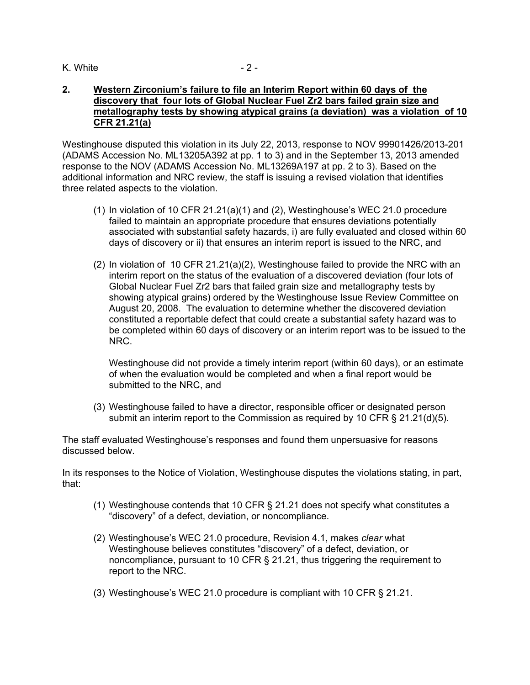### K. White  $-2 -$

### **2. Western Zirconium's failure to file an Interim Report within 60 days of the discovery that four lots of Global Nuclear Fuel Zr2 bars failed grain size and metallography tests by showing atypical grains (a deviation) was a violation of 10 CFR 21.21(a)**

Westinghouse disputed this violation in its July 22, 2013, response to NOV 99901426/2013-201 (ADAMS Accession No. ML13205A392 at pp. 1 to 3) and in the September 13, 2013 amended response to the NOV (ADAMS Accession No. ML13269A197 at pp. 2 to 3). Based on the additional information and NRC review, the staff is issuing a revised violation that identifies three related aspects to the violation.

- $(1)$  In violation of 10 CFR 21.21(a)(1) and (2), Westinghouse's WEC 21.0 procedure failed to maintain an appropriate procedure that ensures deviations potentially associated with substantial safety hazards, i) are fully evaluated and closed within 60 days of discovery or ii) that ensures an interim report is issued to the NRC, and
- (2) In violation of 10 CFR 21.21(a)(2), Westinghouse failed to provide the NRC with an interim report on the status of the evaluation of a discovered deviation (four lots of Global Nuclear Fuel Zr2 bars that failed grain size and metallography tests by showing atypical grains) ordered by the Westinghouse Issue Review Committee on August 20, 2008. The evaluation to determine whether the discovered deviation constituted a reportable defect that could create a substantial safety hazard was to be completed within 60 days of discovery or an interim report was to be issued to the NRC.

Westinghouse did not provide a timely interim report (within 60 days), or an estimate of when the evaluation would be completed and when a final report would be submitted to the NRC, and

(3) Westinghouse failed to have a director, responsible officer or designated person submit an interim report to the Commission as required by 10 CFR  $\S$  21.21(d)(5).

The staff evaluated Westinghouse's responses and found them unpersuasive for reasons discussed below.

In its responses to the Notice of Violation, Westinghouse disputes the violations stating, in part, that:

- (1) Westinghouse contends that 10 CFR § 21.21 does not specify what constitutes a "discovery" of a defect, deviation, or noncompliance.
- (2) Westinghouse's WEC 21.0 procedure, Revision 4.1, makes *clear* what Westinghouse believes constitutes "discovery" of a defect, deviation, or noncompliance, pursuant to 10 CFR § 21.21, thus triggering the requirement to report to the NRC.
- (3) Westinghouse's WEC 21.0 procedure is compliant with 10 CFR § 21.21.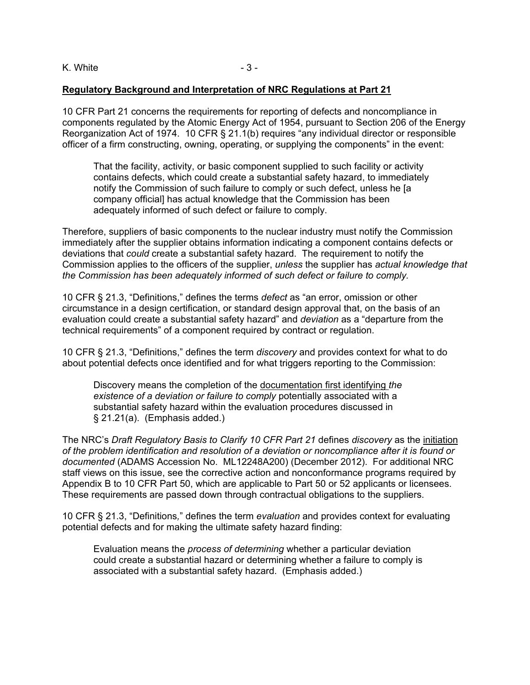### **Regulatory Background and Interpretation of NRC Regulations at Part 21**

10 CFR Part 21 concerns the requirements for reporting of defects and noncompliance in components regulated by the Atomic Energy Act of 1954, pursuant to Section 206 of the Energy Reorganization Act of 1974. 10 CFR § 21.1(b) requires "any individual director or responsible officer of a firm constructing, owning, operating, or supplying the components" in the event:

That the facility, activity, or basic component supplied to such facility or activity contains defects, which could create a substantial safety hazard, to immediately notify the Commission of such failure to comply or such defect, unless he [a company official] has actual knowledge that the Commission has been adequately informed of such defect or failure to comply.

Therefore, suppliers of basic components to the nuclear industry must notify the Commission immediately after the supplier obtains information indicating a component contains defects or deviations that *could* create a substantial safety hazard. The requirement to notify the Commission applies to the officers of the supplier, *unless* the supplier has *actual knowledge that the Commission has been adequately informed of such defect or failure to comply.* 

10 CFR § 21.3, "Definitions," defines the terms *defect* as "an error, omission or other circumstance in a design certification, or standard design approval that, on the basis of an evaluation could create a substantial safety hazard" and *deviation* as a "departure from the technical requirements" of a component required by contract or regulation.

10 CFR § 21.3, "Definitions," defines the term *discovery* and provides context for what to do about potential defects once identified and for what triggers reporting to the Commission:

Discovery means the completion of the documentation first identifying *the existence of a deviation or failure to comply* potentially associated with a substantial safety hazard within the evaluation procedures discussed in § 21.21(a). (Emphasis added.)

The NRC's *Draft Regulatory Basis to Clarify 10 CFR Part 21* defines *discovery* as the initiation *of the problem identification and resolution of a deviation or noncompliance after it is found or documented* (ADAMS Accession No. ML12248A200) (December 2012). For additional NRC staff views on this issue, see the corrective action and nonconformance programs required by Appendix B to 10 CFR Part 50, which are applicable to Part 50 or 52 applicants or licensees. These requirements are passed down through contractual obligations to the suppliers.

10 CFR § 21.3, "Definitions*,*" defines the term *evaluation* and provides context for evaluating potential defects and for making the ultimate safety hazard finding:

Evaluation means the *process of determining* whether a particular deviation could create a substantial hazard or determining whether a failure to comply is associated with a substantial safety hazard. (Emphasis added.)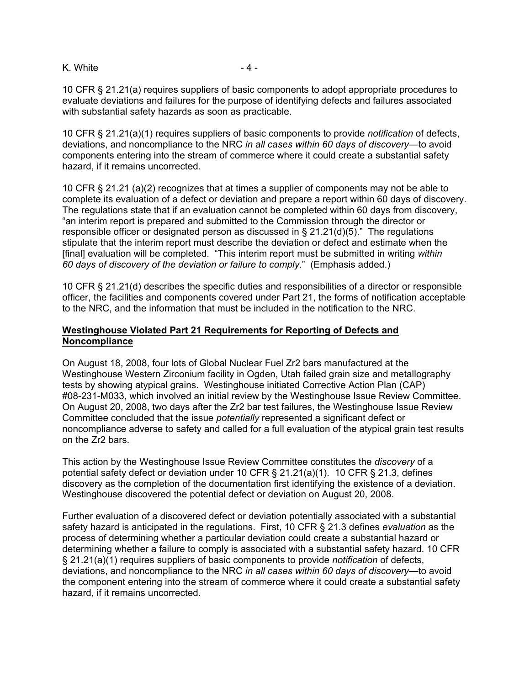### K. White  $-4 -$

10 CFR § 21.21(a) requires suppliers of basic components to adopt appropriate procedures to evaluate deviations and failures for the purpose of identifying defects and failures associated with substantial safety hazards as soon as practicable.

10 CFR § 21.21(a)(1) requires suppliers of basic components to provide *notification* of defects, deviations, and noncompliance to the NRC *in all cases within 60 days of discovery*—to avoid components entering into the stream of commerce where it could create a substantial safety hazard, if it remains uncorrected.

10 CFR § 21.21 (a)(2) recognizes that at times a supplier of components may not be able to complete its evaluation of a defect or deviation and prepare a report within 60 days of discovery. The regulations state that if an evaluation cannot be completed within 60 days from discovery, "an interim report is prepared and submitted to the Commission through the director or responsible officer or designated person as discussed in § 21.21(d)(5)." The regulations stipulate that the interim report must describe the deviation or defect and estimate when the [final] evaluation will be completed. "This interim report must be submitted in writing *within 60 days of discovery of the deviation or failure to comply*." (Emphasis added.)

10 CFR § 21.21(d) describes the specific duties and responsibilities of a director or responsible officer, the facilities and components covered under Part 21, the forms of notification acceptable to the NRC, and the information that must be included in the notification to the NRC.

# **Westinghouse Violated Part 21 Requirements for Reporting of Defects and Noncompliance**

On August 18, 2008, four lots of Global Nuclear Fuel Zr2 bars manufactured at the Westinghouse Western Zirconium facility in Ogden, Utah failed grain size and metallography tests by showing atypical grains. Westinghouse initiated Corrective Action Plan (CAP) #08-231-M033, which involved an initial review by the Westinghouse Issue Review Committee. On August 20, 2008, two days after the Zr2 bar test failures, the Westinghouse Issue Review Committee concluded that the issue *potentially* represented a significant defect or noncompliance adverse to safety and called for a full evaluation of the atypical grain test results on the Zr2 bars.

This action by the Westinghouse Issue Review Committee constitutes the *discovery* of a potential safety defect or deviation under 10 CFR § 21.21(a)(1). 10 CFR § 21.3, defines discovery as the completion of the documentation first identifying the existence of a deviation. Westinghouse discovered the potential defect or deviation on August 20, 2008.

Further evaluation of a discovered defect or deviation potentially associated with a substantial safety hazard is anticipated in the regulations. First, 10 CFR § 21.3 defines *evaluation* as the process of determining whether a particular deviation could create a substantial hazard or determining whether a failure to comply is associated with a substantial safety hazard. 10 CFR § 21.21(a)(1) requires suppliers of basic components to provide *notification* of defects, deviations, and noncompliance to the NRC *in all cases within 60 days of discovery*—to avoid the component entering into the stream of commerce where it could create a substantial safety hazard, if it remains uncorrected.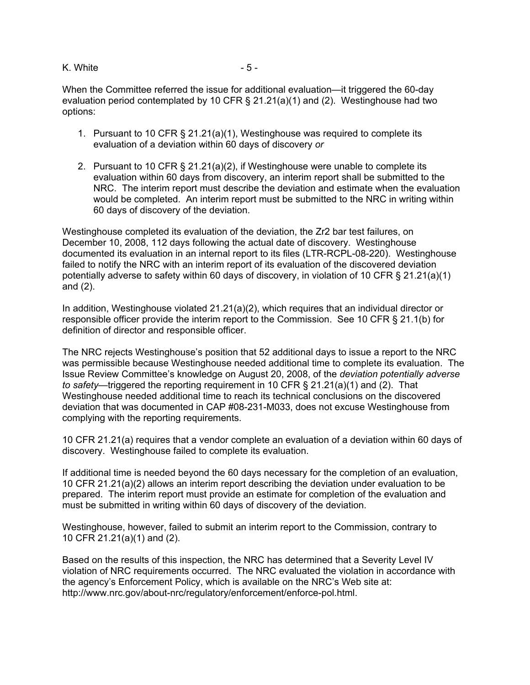### K. White  $-5 -$

When the Committee referred the issue for additional evaluation—it triggered the 60-day evaluation period contemplated by 10 CFR § 21.21(a)(1) and (2). Westinghouse had two options:

- 1. Pursuant to 10 CFR § 21.21(a)(1), Westinghouse was required to complete its evaluation of a deviation within 60 days of discovery *or*
- 2. Pursuant to 10 CFR § 21.21(a)(2), if Westinghouse were unable to complete its evaluation within 60 days from discovery, an interim report shall be submitted to the NRC. The interim report must describe the deviation and estimate when the evaluation would be completed. An interim report must be submitted to the NRC in writing within 60 days of discovery of the deviation.

Westinghouse completed its evaluation of the deviation, the Zr2 bar test failures, on December 10, 2008, 112 days following the actual date of discovery. Westinghouse documented its evaluation in an internal report to its files (LTR-RCPL-08-220). Westinghouse failed to notify the NRC with an interim report of its evaluation of the discovered deviation potentially adverse to safety within 60 days of discovery, in violation of 10 CFR § 21.21(a)(1) and (2).

In addition, Westinghouse violated 21.21(a)(2), which requires that an individual director or responsible officer provide the interim report to the Commission. See 10 CFR § 21.1(b) for definition of director and responsible officer.

The NRC rejects Westinghouse's position that 52 additional days to issue a report to the NRC was permissible because Westinghouse needed additional time to complete its evaluation. The Issue Review Committee's knowledge on August 20, 2008, of the *deviation potentially adverse to safety*—triggered the reporting requirement in 10 CFR § 21.21(a)(1) and (2). That Westinghouse needed additional time to reach its technical conclusions on the discovered deviation that was documented in CAP #08-231-M033, does not excuse Westinghouse from complying with the reporting requirements.

10 CFR 21.21(a) requires that a vendor complete an evaluation of a deviation within 60 days of discovery. Westinghouse failed to complete its evaluation.

If additional time is needed beyond the 60 days necessary for the completion of an evaluation, 10 CFR 21.21(a)(2) allows an interim report describing the deviation under evaluation to be prepared. The interim report must provide an estimate for completion of the evaluation and must be submitted in writing within 60 days of discovery of the deviation.

Westinghouse, however, failed to submit an interim report to the Commission, contrary to 10 CFR 21.21(a)(1) and (2).

Based on the results of this inspection, the NRC has determined that a Severity Level IV violation of NRC requirements occurred. The NRC evaluated the violation in accordance with the agency's Enforcement Policy, which is available on the NRC's Web site at: http://www.nrc.gov/about-nrc/regulatory/enforcement/enforce-pol.html.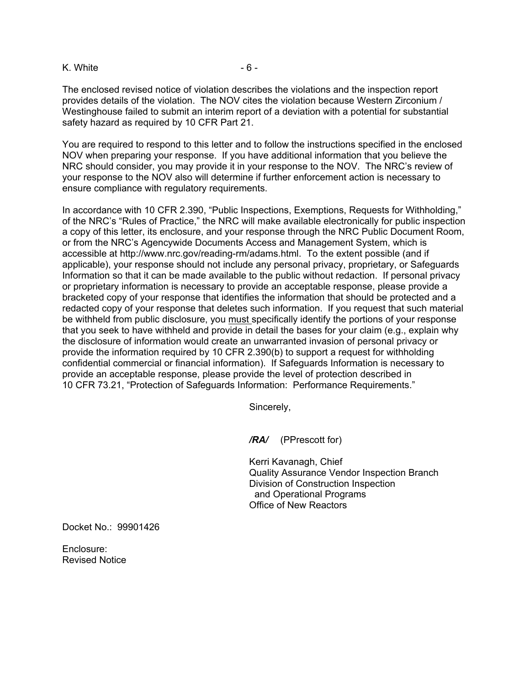#### K. White  $-6 -$

The enclosed revised notice of violation describes the violations and the inspection report provides details of the violation. The NOV cites the violation because Western Zirconium / Westinghouse failed to submit an interim report of a deviation with a potential for substantial safety hazard as required by 10 CFR Part 21.

You are required to respond to this letter and to follow the instructions specified in the enclosed NOV when preparing your response. If you have additional information that you believe the NRC should consider, you may provide it in your response to the NOV. The NRC's review of your response to the NOV also will determine if further enforcement action is necessary to ensure compliance with regulatory requirements.

In accordance with 10 CFR 2.390, "Public Inspections, Exemptions, Requests for Withholding," of the NRC's "Rules of Practice," the NRC will make available electronically for public inspection a copy of this letter, its enclosure, and your response through the NRC Public Document Room, or from the NRC's Agencywide Documents Access and Management System, which is accessible at http://www.nrc.gov/reading-rm/adams.html. To the extent possible (and if applicable), your response should not include any personal privacy, proprietary, or Safeguards Information so that it can be made available to the public without redaction. If personal privacy or proprietary information is necessary to provide an acceptable response, please provide a bracketed copy of your response that identifies the information that should be protected and a redacted copy of your response that deletes such information. If you request that such material be withheld from public disclosure, you must specifically identify the portions of your response that you seek to have withheld and provide in detail the bases for your claim (e.g., explain why the disclosure of information would create an unwarranted invasion of personal privacy or provide the information required by 10 CFR 2.390(b) to support a request for withholding confidential commercial or financial information). If Safeguards Information is necessary to provide an acceptable response, please provide the level of protection described in 10 CFR 73.21, "Protection of Safeguards Information: Performance Requirements."

Sincerely,

*/RA/* (PPrescott for)

Kerri Kavanagh, Chief Quality Assurance Vendor Inspection Branch Division of Construction Inspection and Operational Programs Office of New Reactors

Docket No.: 99901426

Enclosure: Revised Notice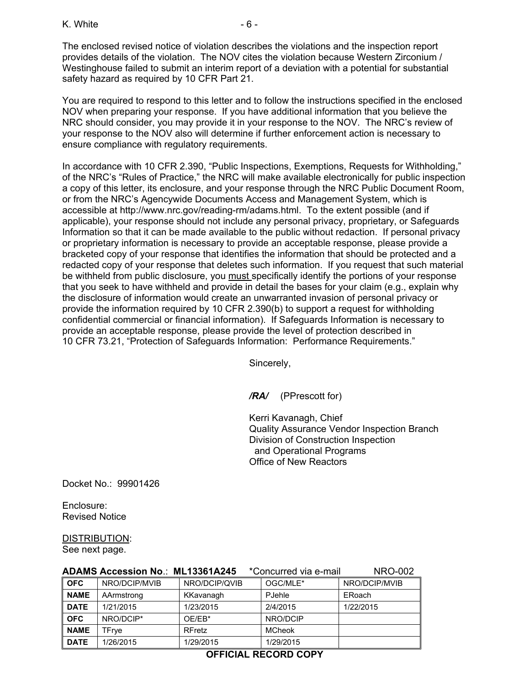The enclosed revised notice of violation describes the violations and the inspection report provides details of the violation. The NOV cites the violation because Western Zirconium / Westinghouse failed to submit an interim report of a deviation with a potential for substantial safety hazard as required by 10 CFR Part 21.

You are required to respond to this letter and to follow the instructions specified in the enclosed NOV when preparing your response. If you have additional information that you believe the NRC should consider, you may provide it in your response to the NOV. The NRC's review of your response to the NOV also will determine if further enforcement action is necessary to ensure compliance with regulatory requirements.

In accordance with 10 CFR 2.390, "Public Inspections, Exemptions, Requests for Withholding," of the NRC's "Rules of Practice," the NRC will make available electronically for public inspection a copy of this letter, its enclosure, and your response through the NRC Public Document Room, or from the NRC's Agencywide Documents Access and Management System, which is accessible at http://www.nrc.gov/reading-rm/adams.html. To the extent possible (and if applicable), your response should not include any personal privacy, proprietary, or Safeguards Information so that it can be made available to the public without redaction. If personal privacy or proprietary information is necessary to provide an acceptable response, please provide a bracketed copy of your response that identifies the information that should be protected and a redacted copy of your response that deletes such information. If you request that such material be withheld from public disclosure, you must specifically identify the portions of your response that you seek to have withheld and provide in detail the bases for your claim (e.g., explain why the disclosure of information would create an unwarranted invasion of personal privacy or provide the information required by 10 CFR 2.390(b) to support a request for withholding confidential commercial or financial information). If Safeguards Information is necessary to provide an acceptable response, please provide the level of protection described in 10 CFR 73.21, "Protection of Safeguards Information: Performance Requirements."

Sincerely,

*/RA/* (PPrescott for)

Kerri Kavanagh, Chief Quality Assurance Vendor Inspection Branch Division of Construction Inspection and Operational Programs Office of New Reactors

Docket No.: 99901426

Enclosure: Revised Notice

DISTRIBUTION:

See next page.

|             | <b>ADAMS Accession No.: ML13361A245</b> |               | *Concurred via e-mail | <b>NRO-002</b> |
|-------------|-----------------------------------------|---------------|-----------------------|----------------|
| <b>OFC</b>  | NRO/DCIP/MVIB                           | NRO/DCIP/QVIB | OGC/MLE*              | NRO/DCIP/MVIB  |
| <b>NAME</b> | AArmstrong                              | KKavanagh     | PJehle                | ERoach         |
| <b>DATE</b> | 1/21/2015                               | 1/23/2015     | 2/4/2015              | 1/22/2015      |
| <b>OFC</b>  | NRO/DCIP*                               | OE/EB*        | NRO/DCIP              |                |
| <b>NAME</b> | TFrye                                   | <b>RFretz</b> | <b>MCheok</b>         |                |
| <b>DATE</b> | 1/26/2015                               | 1/29/2015     | 1/29/2015             |                |

# **OFFICIAL RECORD COPY**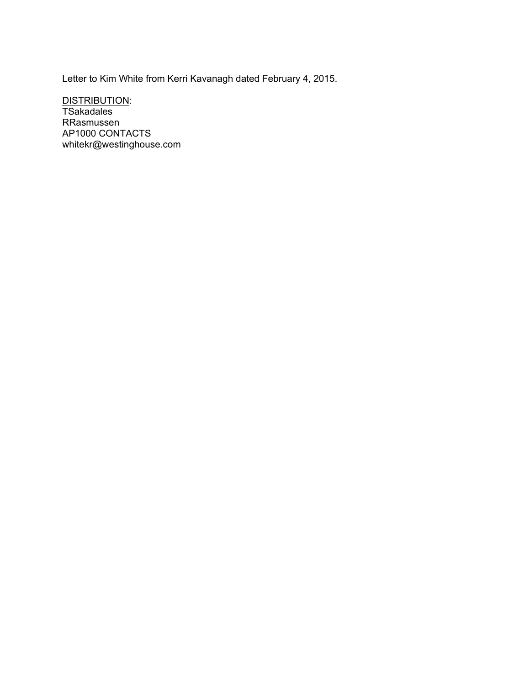Letter to Kim White from Kerri Kavanagh dated February 4, 2015.

DISTRIBUTION: TSakadales RRasmussen AP1000 CONTACTS whitekr@westinghouse.com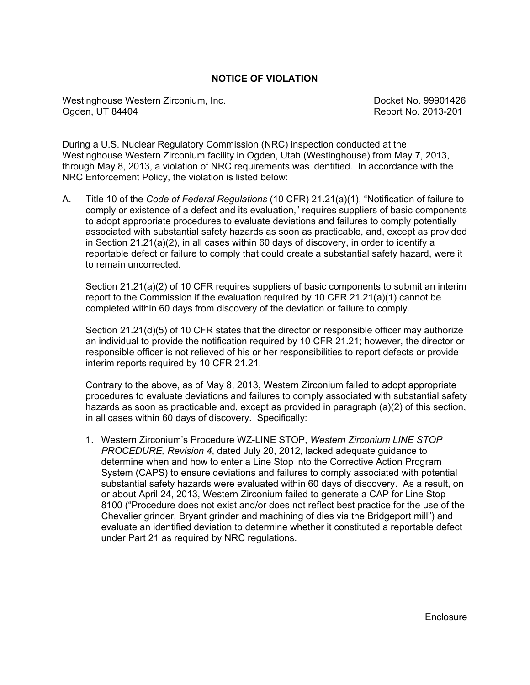### **NOTICE OF VIOLATION**

Westinghouse Western Zirconium, Inc. Contract No. 99901426 Ogden, UT 84404 Report No. 2013-201

During a U.S. Nuclear Regulatory Commission (NRC) inspection conducted at the Westinghouse Western Zirconium facility in Ogden, Utah (Westinghouse) from May 7, 2013, through May 8, 2013, a violation of NRC requirements was identified. In accordance with the NRC Enforcement Policy, the violation is listed below:

A. Title 10 of the *Code of Federal Regulations* (10 CFR) 21.21(a)(1), "Notification of failure to comply or existence of a defect and its evaluation," requires suppliers of basic components to adopt appropriate procedures to evaluate deviations and failures to comply potentially associated with substantial safety hazards as soon as practicable, and, except as provided in Section 21.21(a)(2), in all cases within 60 days of discovery, in order to identify a reportable defect or failure to comply that could create a substantial safety hazard, were it to remain uncorrected.

Section 21.21(a)(2) of 10 CFR requires suppliers of basic components to submit an interim report to the Commission if the evaluation required by 10 CFR 21.21(a)(1) cannot be completed within 60 days from discovery of the deviation or failure to comply.

Section 21.21(d)(5) of 10 CFR states that the director or responsible officer may authorize an individual to provide the notification required by 10 CFR 21.21; however, the director or responsible officer is not relieved of his or her responsibilities to report defects or provide interim reports required by 10 CFR 21.21.

Contrary to the above, as of May 8, 2013, Western Zirconium failed to adopt appropriate procedures to evaluate deviations and failures to comply associated with substantial safety hazards as soon as practicable and, except as provided in paragraph (a)(2) of this section, in all cases within 60 days of discovery. Specifically:

1. Western Zirconium's Procedure WZ-LINE STOP, *Western Zirconium LINE STOP PROCEDURE, Revision 4*, dated July 20, 2012, lacked adequate guidance to determine when and how to enter a Line Stop into the Corrective Action Program System (CAPS) to ensure deviations and failures to comply associated with potential substantial safety hazards were evaluated within 60 days of discovery. As a result, on or about April 24, 2013, Western Zirconium failed to generate a CAP for Line Stop 8100 ("Procedure does not exist and/or does not reflect best practice for the use of the Chevalier grinder, Bryant grinder and machining of dies via the Bridgeport mill") and evaluate an identified deviation to determine whether it constituted a reportable defect under Part 21 as required by NRC regulations.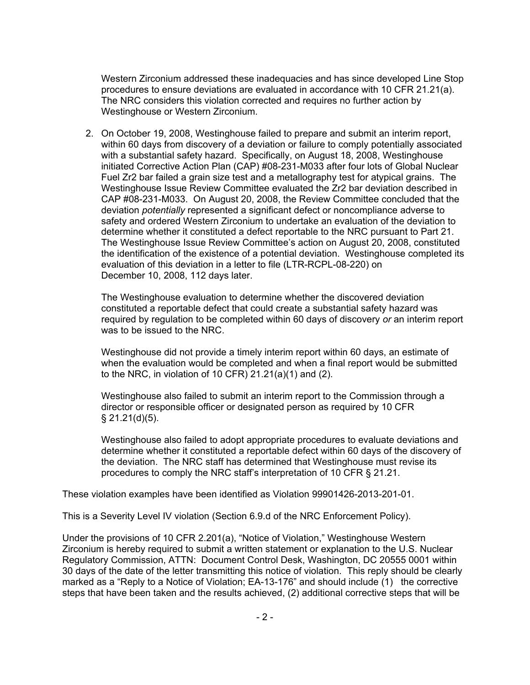Western Zirconium addressed these inadequacies and has since developed Line Stop procedures to ensure deviations are evaluated in accordance with 10 CFR 21.21(a). The NRC considers this violation corrected and requires no further action by Westinghouse or Western Zirconium.

2. On October 19, 2008, Westinghouse failed to prepare and submit an interim report, within 60 days from discovery of a deviation or failure to comply potentially associated with a substantial safety hazard. Specifically, on August 18, 2008, Westinghouse initiated Corrective Action Plan (CAP) #08-231-M033 after four lots of Global Nuclear Fuel Zr2 bar failed a grain size test and a metallography test for atypical grains. The Westinghouse Issue Review Committee evaluated the Zr2 bar deviation described in CAP #08-231-M033. On August 20, 2008, the Review Committee concluded that the deviation *potentially* represented a significant defect or noncompliance adverse to safety and ordered Western Zirconium to undertake an evaluation of the deviation to determine whether it constituted a defect reportable to the NRC pursuant to Part 21. The Westinghouse Issue Review Committee's action on August 20, 2008, constituted the identification of the existence of a potential deviation. Westinghouse completed its evaluation of this deviation in a letter to file (LTR-RCPL-08-220) on December 10, 2008, 112 days later.

The Westinghouse evaluation to determine whether the discovered deviation constituted a reportable defect that could create a substantial safety hazard was required by regulation to be completed within 60 days of discovery *or* an interim report was to be issued to the NRC.

Westinghouse did not provide a timely interim report within 60 days, an estimate of when the evaluation would be completed and when a final report would be submitted to the NRC, in violation of 10 CFR) 21.21(a)(1) and (2).

Westinghouse also failed to submit an interim report to the Commission through a director or responsible officer or designated person as required by 10 CFR  $§$  21.21(d)(5).

Westinghouse also failed to adopt appropriate procedures to evaluate deviations and determine whether it constituted a reportable defect within 60 days of the discovery of the deviation. The NRC staff has determined that Westinghouse must revise its procedures to comply the NRC staff's interpretation of 10 CFR § 21.21.

These violation examples have been identified as Violation 99901426-2013-201-01.

This is a Severity Level IV violation (Section 6.9.d of the NRC Enforcement Policy).

Under the provisions of 10 CFR 2.201(a), "Notice of Violation," Westinghouse Western Zirconium is hereby required to submit a written statement or explanation to the U.S. Nuclear Regulatory Commission, ATTN: Document Control Desk, Washington, DC 20555 0001 within 30 days of the date of the letter transmitting this notice of violation. This reply should be clearly marked as a "Reply to a Notice of Violation; EA-13-176" and should include (1) the corrective steps that have been taken and the results achieved, (2) additional corrective steps that will be